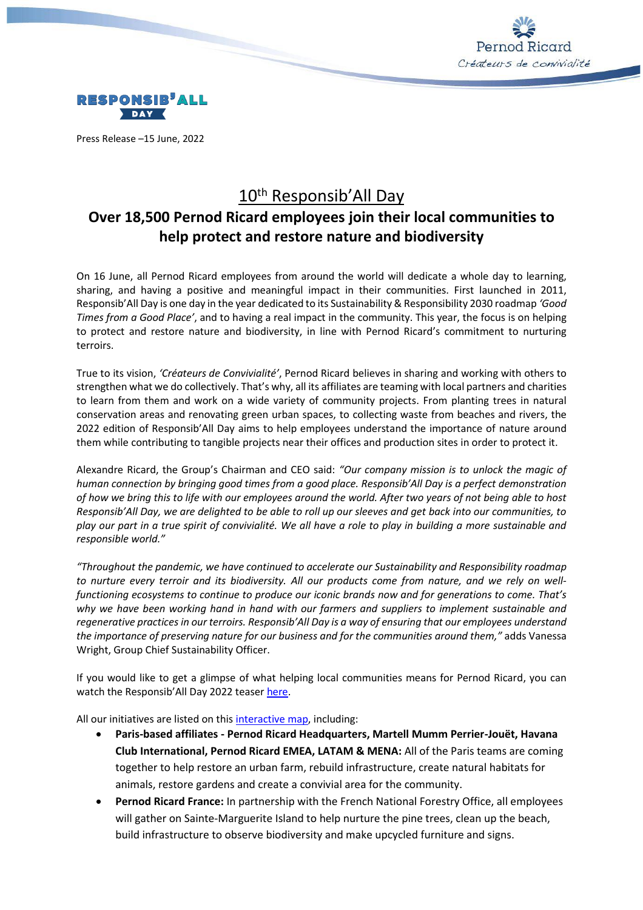



Press Release –15 June, 2022

# 10<sup>th</sup> Responsib'All Day

# **Over 18,500 Pernod Ricard employees join their local communities to help protect and restore nature and biodiversity**

On 16 June, all Pernod Ricard employees from around the world will dedicate a whole day to learning, sharing, and having a positive and meaningful impact in their communities. First launched in 2011, Responsib'All Day is one day in the year dedicated to its Sustainability & Responsibility 2030 roadmap *'Good Times from a Good Place'*, and to having a real impact in the community. This year, the focus is on helping to protect and restore nature and biodiversity, in line with Pernod Ricard's commitment to nurturing terroirs.

True to its vision, *'Créateurs de Convivialité'*, Pernod Ricard believes in sharing and working with others to strengthen what we do collectively. That's why, all its affiliates are teaming with local partners and charities to learn from them and work on a wide variety of community projects. From planting trees in natural conservation areas and renovating green urban spaces, to collecting waste from beaches and rivers, the 2022 edition of Responsib'All Day aims to help employees understand the importance of nature around them while contributing to tangible projects near their offices and production sites in order to protect it.

Alexandre Ricard, the Group's Chairman and CEO said: *"Our company mission is to unlock the magic of human connection by bringing good times from a good place. Responsib'All Day is a perfect demonstration of how we bring this to life with our employees around the world. After two years of not being able to host Responsib'All Day, we are delighted to be able to roll up our sleeves and get back into our communities, to play our part in a true spirit of convivialité. We all have a role to play in building a more sustainable and responsible world."*

*"Throughout the pandemic, we have continued to accelerate our Sustainability and Responsibility roadmap to nurture every terroir and its biodiversity. All our products come from nature, and we rely on wellfunctioning ecosystems to continue to produce our iconic brands now and for generations to come. That's why we have been working hand in hand with our farmers and suppliers to implement sustainable and regenerative practicesin our terroirs. Responsib'All Day is a way of ensuring that our employees understand the importance of preserving nature for our business and for the communities around them,"* adds Vanessa Wright, Group Chief Sustainability Officer.

If you would like to get a glimpse of what helping local communities means for Pernod Ricard, you can watch the Responsib'All Day 2022 teaser [here.](https://vimeo.com/718757202/2475d9106f)

All our initiatives are listed on this [interactive map,](https://www.google.com/maps/d/u/0/edit?hl=fr&mid=1HL9jJhOjUZOpoJEEwPeHok7OrQxrdJoE&ll=59.0531856026122%2C17.467635116286804&z=7) including:

- **Paris-based affiliates - Pernod Ricard Headquarters, Martell Mumm Perrier-Jouët, Havana Club International, Pernod Ricard EMEA, LATAM & MENA:** All of the Paris teams are coming together to help restore an urban farm, rebuild infrastructure, create natural habitats for animals, restore gardens and create a convivial area for the community.
- **Pernod Ricard France:** In partnership with the French National Forestry Office, all employees will gather on Sainte-Marguerite Island to help nurture the pine trees, clean up the beach, build infrastructure to observe biodiversity and make upcycled furniture and signs.